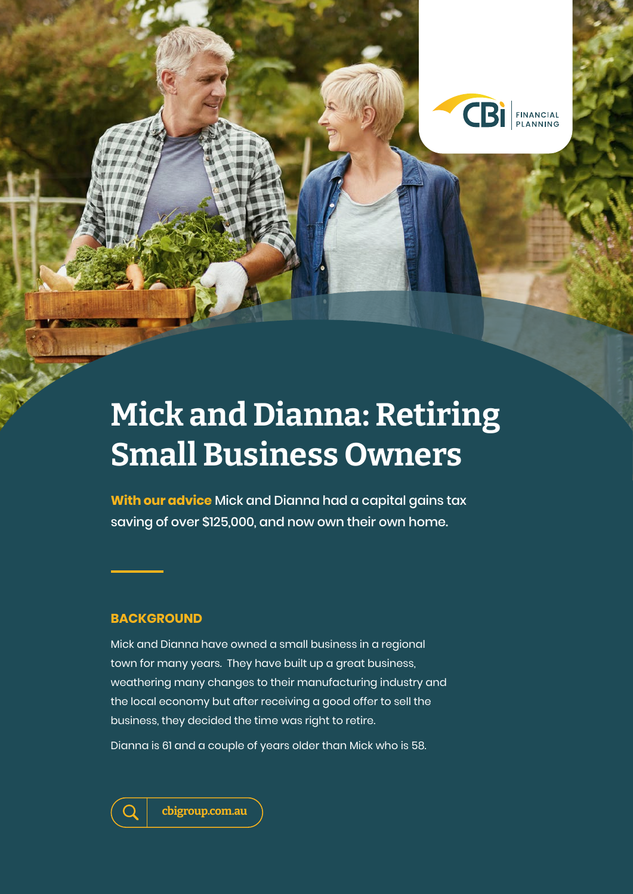

# **Mick and Dianna: Retiring Small Business Owners**

**With our advice** Mick and Dianna had a capital gains tax saving of over \$125,000, and now own their own home.

# **BACKGROUND**

Mick and Dianna have owned a small business in a regional town for many years. They have built up a great business, weathering many changes to their manufacturing industry and the local economy but after receiving a good offer to sell the business, they decided the time was right to retire.

Dianna is 61 and a couple of years older than Mick who is 58.



**cbigroup.com.au**